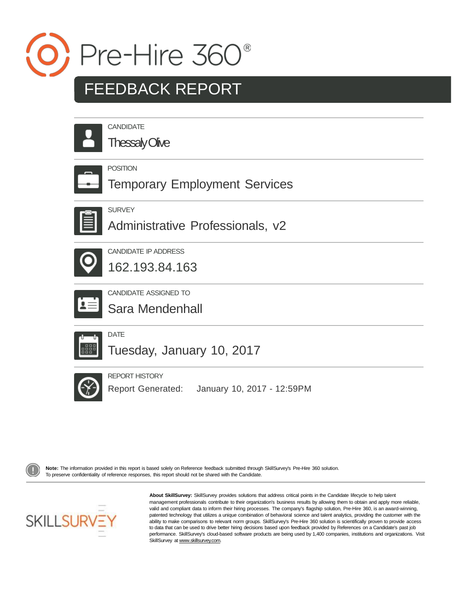

# FEEDBACK REPORT

**Thessaly Olive** 

### POSITION

Temporary Employment Services



**SURVEY** 

Administrative Professionals, v2



CANDIDATE IP ADDRESS

162.193.84.163



CANDIDATE ASSIGNED TO

Sara Mendenhall



Tuesday, January 10, 2017



REPORT HISTORY

Report Generated: January 10, 2017 - 12:59PM



Note: The information provided in this report is based solely on Reference feedback submitted through SkillSurvey's Pre-Hire 360 solution. To preserve confidentiality of reference responses, this report should not be shared with the Candidate.



**About SkillSurvey:** SkillSurvey provides solutions that address critical points in the Candidate lifecycle to help talent management professionals contribute to their organization's business results by allowing them to obtain and apply more reliable, valid and compliant data to inform their hiring processes. The company's flagship solution, Pre-Hire 360, is an award-winning, patented technology that utilizes a unique combination of behavioral science and talent analytics, providing the customer with the ability to make comparisons to relevant norm groups. SkillSurvey's Pre-Hire 360 solution is scientifically proven to provide access to data that can be used to drive better hiring decisions based upon feedback provided by References on a Candidate's past job performance. SkillSurvey's cloud-based software products are being used by 1,400 companies, institutions and organizations. Visit SkillSurvey at [www.skillsurvey.com.](http://www.skillsurvey.com/)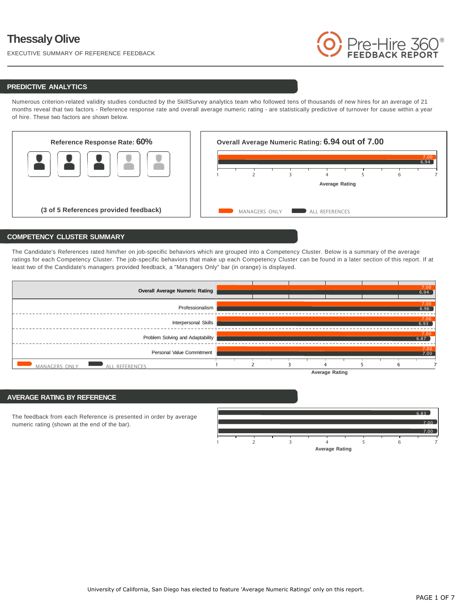EXECUTIVE SUMMARY OF REFERENCE FEEDBACK



#### **PREDICTIVE ANALYTICS**

Numerous criterion-related validity studies conducted by the SkillSurvey analytics team who followed tens of thousands of new hires for an average of 21 months reveal that two factors - Reference response rate and overall average numeric rating - are statistically predictive of turnover for cause within a year of hire. These two factors are shown below.



#### **COMPETENCY CLUSTER SUMMARY**

The Candidate's References rated him/her on job-specific behaviors which are grouped into a Competency Cluster. Below is a summary of the average ratings for each Competency Cluster. The job-specific behaviors that make up each Competency Cluster can be found in a later section of this report. If at least two of the Candidate's managers provided feedback, a "Managers Only" bar (in orange) is displayed.



#### **AVERAGE RATING BY REFERENCE**

The feedback from each Reference is presented in order by average numeric rating (shown at the end of the bar).

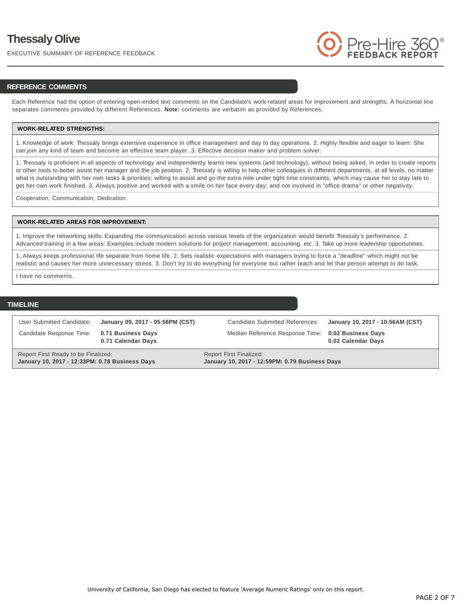EXECUTIVE SUMMARY OF REFERENCE FEEDBACK



#### **REFERENCE COMMENTS**

Each Reference had the option of entering open-ended text comments on the Candidate's work-related areas for improvement and strengths. A horizontal line separates comments provided by different References. **Note:** comments are verbatim as provided by References.

#### **WORK-RELATED STRENGTHS:**

1. Knowledge of work: Thessaly brings extensive experience in office management and day to day operations. 2. Highly flexible and eager to learn: She can join any kind of team and become an effective team player. 3. Effective decision maker and problem solver.

1. Thessaly is proficient in all aspects of technology and independently learns new systems (and technology), without being asked, in order to create reports or other tools to better assist her manager and the job position. 2. Thessaly is willing to help other colleagues in different departments, at all levels, no matter what is outstanding with her own tasks & priorities; willing to assist and go the extra mile under tight time constraints, which may cause her to stay late to get her own work finished. 3. Always positive and worked with a smile on her face every day; and not involved in "office drama" or other negativity.

Cooperation, Communication, Dedication.

#### **WORK-RELATED AREAS FOR IMPROVEMENT:**

1. Improve the networking skills: Expanding the communication across various levels of the organization would benefit Thessaly's performance. 2. Advanced training in a few areas: Examples include modern solutions for project management, accounting, etc. 3. Take up more leadership opportunities.

1. Always keeps professional life separate from home life. 2. Sets realistic expectations with managers trying to force a "deadline" which might not be realistic and causes her more unnecessary stress. 3. Don't try to do everything for everyone but rather teach and let that person attempt to do task.

I have no comments.

#### **TIMELINE**

| User Submitted Candidate:<br>Candidate Response Time: 0.71 Business Days              | January 09, 2017 - 05:56PM (CST) | Candidate Submitted References:<br>Median Reference Response Time: 0.02 Business Days | January 10, 2017 - 10:56AM (CST) |
|---------------------------------------------------------------------------------------|----------------------------------|---------------------------------------------------------------------------------------|----------------------------------|
|                                                                                       | 0.71 Calendar Days               |                                                                                       | 0.02 Calendar Days               |
| Report First Ready to be Finalized:<br>January 10, 2017 - 12:33PM: 0.78 Business Days |                                  | <b>Report First Finalized:</b><br>January 10, 2017 - 12:59PM: 0.79 Business Days      |                                  |

University of California, San Diego has elected to feature 'Average Numeric Ratings' only on this report.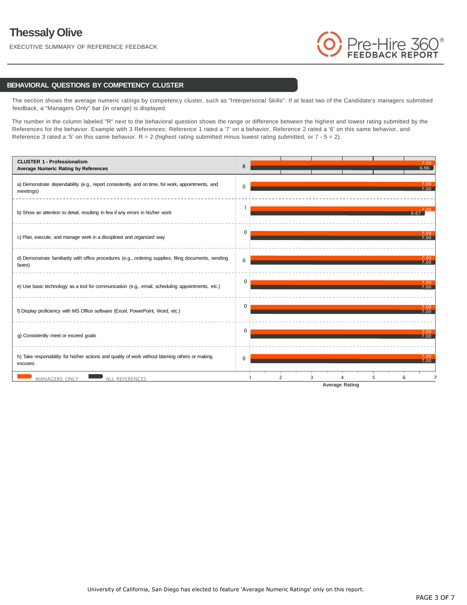EXECUTIVE SUMMARY OF REFERENCE FEEDBACK



#### **BEHAVIORAL QUESTIONS BY COMPETENCY CLUSTER**

The section shows the average numeric ratings by competency cluster, such as "Interpersonal Skills". If at least two of the Candidate's managers submitted feedback, a "Managers Only" bar (in orange) is displayed.

The number in the column labeled "R" next to the behavioral question shows the range or difference between the highest and lowest rating submitted by the References for the behavior. Example with 3 References: Reference 1 rated a '7' on a behavior, Reference 2 rated a '6' on this same behavior, and Reference 3 rated a '5' on this same behavior.  $R = 2$  (highest rating submitted minus lowest rating submitted, or  $7 - 5 = 2$ ).

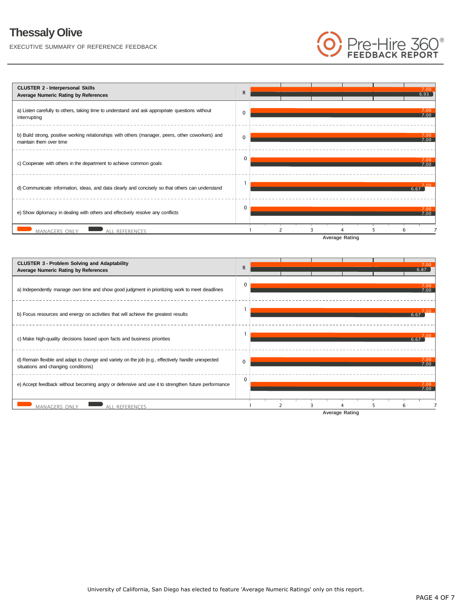EXECUTIVE SUMMARY OF REFERENCE FEEDBACK







University of California, San Diego has elected to feature 'Average Numeric Ratings' only on this report.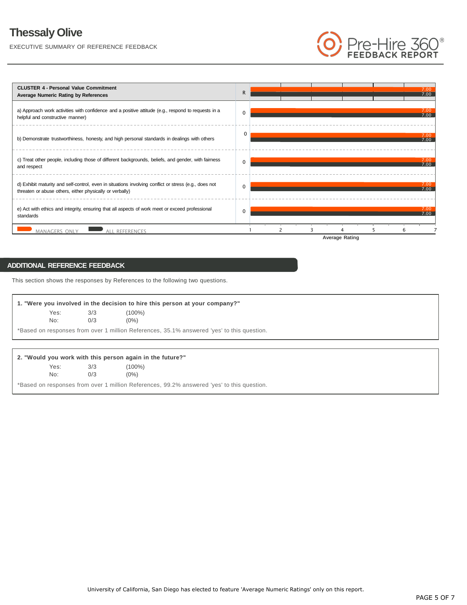EXECUTIVE SUMMARY OF REFERENCE FEEDBACK



### **ADDITIONAL REFERENCE FEEDBACK**

This section shows the responses by References to the following two questions.

| Yes: | 3/3 | (100%)  |
|------|-----|---------|
| No:  | 0/3 | $(0\%)$ |

#### **2. "Would you work with this person again in the future?"**

| Yes: | 3/3 | $(100\%)$ |
|------|-----|-----------|
| No:  | 0/3 | $(0\%)$   |

\*Based on responses from over 1 million References, 99.2% answered 'yes' to this question.

re-Hire 3<br>FEDBACK REP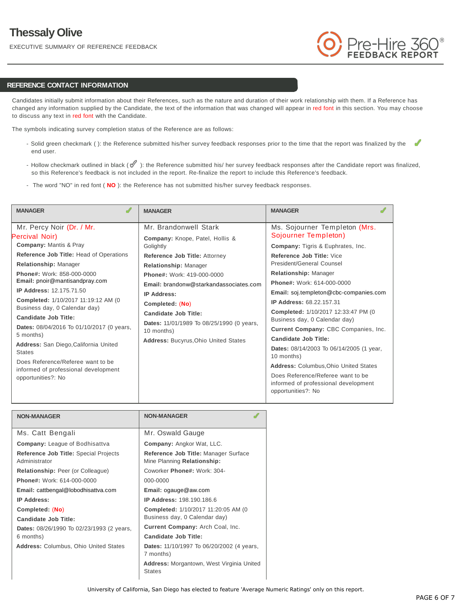EXECUTIVE SUMMARY OF REFERENCE FEEDBACK



#### **REFERENCE CONTACT INFORMATION**

Candidates initially submit information about their References, such as the nature and duration of their work relationship with them. If a Reference has changed any information supplied by the Candidate, the text of the information that was changed will appear in red font in this section. You may choose to discuss any text in red font with the Candidate.

The symbols indicating survey completion status of the Reference are as follows:

- Solid green checkmark ( ): the Reference submitted his/her survey feedback responses prior to the time that the report was finalized by the ✔ end user.
- Hollow checkmark outlined in black ( $\mathcal{O}$ ): the Reference submitted his/ her survey feedback responses after the Candidate report was finalized, so this Reference's feedback is not included in the report. Re-finalize the report to include this Reference's feedback.
- The word "NO" in red font ( **NO** ): the Reference has not submitted his/her survey feedback responses.

| <b>MANAGER</b>                                             | <b>MANAGER</b>                              | <b>MANAGER</b>                                                                                  |
|------------------------------------------------------------|---------------------------------------------|-------------------------------------------------------------------------------------------------|
| Mr. Percy Noir (Dr. / Mr.                                  | Mr. Brandonwell Stark                       | Ms. Sojourner Templeton (Mrs.                                                                   |
| Percival Noir)                                             | <b>Company: Knope, Patel, Hollis &amp;</b>  | Sojourner Templeton)                                                                            |
| <b>Company: Mantis &amp; Pray</b>                          | Golightly                                   | <b>Company:</b> Tigris & Euphrates, Inc.                                                        |
| Reference Job Title: Head of Operations                    | Reference Job Title: Attorney               | Reference Job Title: Vice                                                                       |
| Relationship: Manager                                      | <b>Relationship: Manager</b>                | President/General Counsel                                                                       |
| <b>Phone#: Work: 858-000-0000</b>                          | Phone#: Work: 419-000-0000                  | Relationship: Manager                                                                           |
| Email: pnoir@mantisandpray.com                             | Email: brandonw@starkandassociates.com      | Phone#: Work: 614-000-0000                                                                      |
| <b>IP Address: 12.175.71.50</b>                            | <b>IP Address:</b>                          | Email: soj.templeton@cbc-companies.com                                                          |
| Completed: 1/10/2017 11:19:12 AM (0                        | Completed: (No)                             | <b>IP Address: 68.22.157.31</b>                                                                 |
| Business day, 0 Calendar day)                              | Candidate Job Title:                        | Completed: 1/10/2017 12:33:47 PM (0)                                                            |
| Candidate Job Title:                                       | Dates: 11/01/1989 To 08/25/1990 (0 years,   | Business day, 0 Calendar day)                                                                   |
| Dates: 08/04/2016 To 01/10/2017 (0 years,                  | 10 months)                                  | Current Company: CBC Companies, Inc.                                                            |
| 5 months)                                                  | <b>Address: Bucyrus, Ohio United States</b> | Candidate Job Title:                                                                            |
| Address: San Diego, California United<br><b>States</b>     |                                             | Dates: 08/14/2003 To 06/14/2005 (1 year,<br>10 months)                                          |
| Does Reference/Referee want to be                          |                                             | <b>Address: Columbus, Ohio United States</b>                                                    |
| informed of professional development<br>opportunities?: No |                                             | Does Reference/Referee want to be<br>informed of professional development<br>opportunities?: No |

| <b>NON-MANAGER</b>                                     | <b>NON-MANAGER</b>                                                   |  |  |
|--------------------------------------------------------|----------------------------------------------------------------------|--|--|
| Ms. Catt Bengali                                       | Mr. Oswald Gauge                                                     |  |  |
| <b>Company:</b> League of Bodhisattva                  | Company: Angkor Wat, LLC.                                            |  |  |
| Reference Job Title: Special Projects<br>Administrator | Reference Job Title: Manager Surface<br>Mine Planning Relationship:  |  |  |
| <b>Relationship:</b> Peer (or Colleague)               | Coworker Phone#: Work: 304-                                          |  |  |
| <b>Phone#:</b> Work: 614-000-0000                      | 000-0000                                                             |  |  |
| Email: cattbengal@lobodhisattva.com                    | Email: ogauge@aw.com                                                 |  |  |
| <b>IP Address:</b>                                     | <b>IP Address: 198.190.186.6</b>                                     |  |  |
| Completed: (No)<br>Candidate Job Title:                | Completed: 1/10/2017 11:20:05 AM (0<br>Business day, 0 Calendar day) |  |  |
| Dates: 08/26/1990 To 02/23/1993 (2 years,              | Current Company: Arch Coal, Inc.                                     |  |  |
| 6 months)                                              | Candidate Job Title:                                                 |  |  |
| <b>Address: Columbus, Ohio United States</b>           | Dates: 11/10/1997 To 06/20/2002 (4 years,<br>7 months)               |  |  |
|                                                        | Address: Morgantown, West Virginia United<br><b>States</b>           |  |  |
|                                                        |                                                                      |  |  |